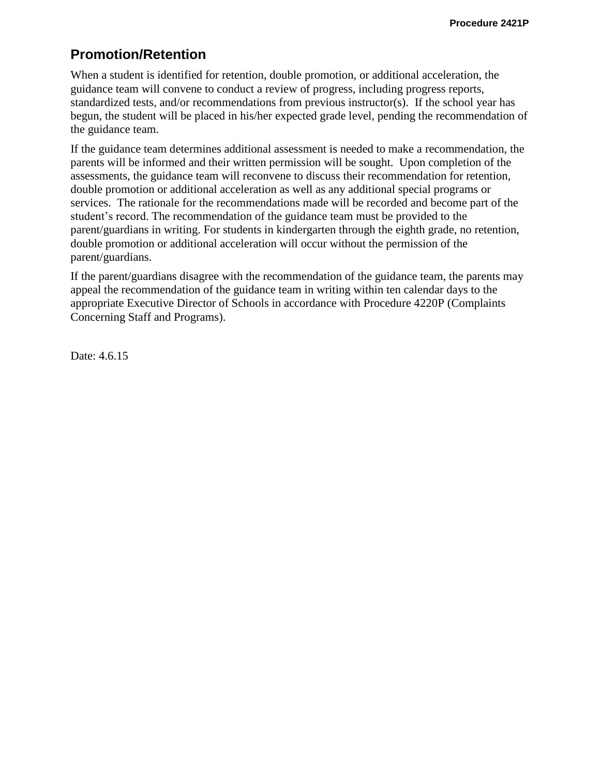## **Promotion/Retention**

When a student is identified for retention, double promotion, or additional acceleration, the guidance team will convene to conduct a review of progress, including progress reports, standardized tests, and/or recommendations from previous instructor(s). If the school year has begun, the student will be placed in his/her expected grade level, pending the recommendation of the guidance team.

If the guidance team determines additional assessment is needed to make a recommendation, the parents will be informed and their written permission will be sought. Upon completion of the assessments, the guidance team will reconvene to discuss their recommendation for retention, double promotion or additional acceleration as well as any additional special programs or services. The rationale for the recommendations made will be recorded and become part of the student's record. The recommendation of the guidance team must be provided to the parent/guardians in writing. For students in kindergarten through the eighth grade, no retention, double promotion or additional acceleration will occur without the permission of the parent/guardians.

If the parent/guardians disagree with the recommendation of the guidance team, the parents may appeal the recommendation of the guidance team in writing within ten calendar days to the appropriate Executive Director of Schools in accordance with Procedure 4220P (Complaints Concerning Staff and Programs).

Date: 4.6.15